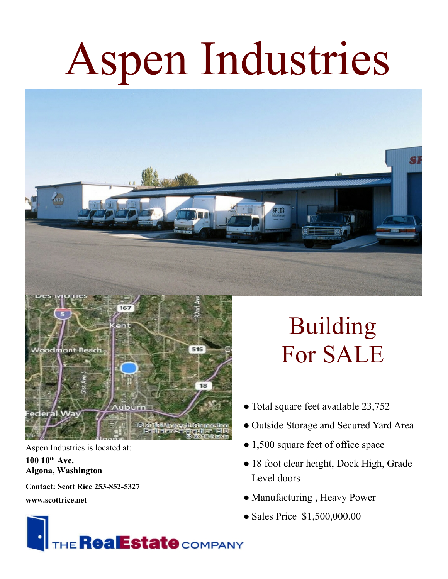## Aspen Industries





Aspen Industries is located at: **100 10th Ave. Algona, Washington**

**Contact: Scott Rice 253-852-5327**

**www.scottrice.net**

## HE **RealEstate** COMPANY

## Building For SALE

- Total square feet available 23,752
- Outside Storage and Secured Yard Area
- 1,500 square feet of office space
- 18 foot clear height, Dock High, Grade Level doors
- Manufacturing , Heavy Power
- Sales Price \$1,500,000.00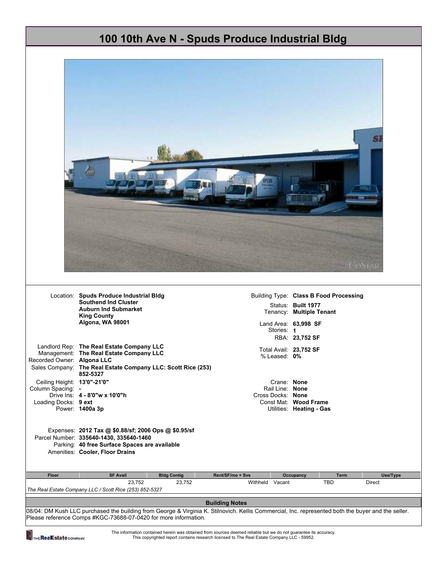|                                                                         | 100 10th Ave N - Spuds Produce Industrial Bldg                                                                                                                                      |                                                     |                                                                        |
|-------------------------------------------------------------------------|-------------------------------------------------------------------------------------------------------------------------------------------------------------------------------------|-----------------------------------------------------|------------------------------------------------------------------------|
|                                                                         |                                                                                                                                                                                     |                                                     |                                                                        |
|                                                                         |                                                                                                                                                                                     |                                                     |                                                                        |
|                                                                         | Location: Spuds Produce Industrial Bldg                                                                                                                                             |                                                     | Building Type: Class B Food Processing                                 |
|                                                                         | <b>Southend Ind Cluster</b><br><b>Auburn Ind Submarket</b><br><b>King County</b><br>Algona, WA 98001                                                                                | Stories: 1                                          | Status: Built 1977<br>Tenancy: Multiple Tenant<br>Land Area: 63,998 SF |
|                                                                         | Landlord Rep: The Real Estate Company LLC<br>Management: The Real Estate Company LLC<br>Sales Company: The Real Estate Company LLC: Scott Rice (253)                                | Total Avail: 23,752 SF<br>% Leased: 0%              | RBA: 23,752 SF                                                         |
| Ceiling Height: 13'0"-21'0"                                             | 852-5327<br>Drive Ins: 4 - 8'0"w x 10'0"h<br>Power: 1400a 3p                                                                                                                        | Crane: None<br>Rail Line: None<br>Cross Docks: None | Const Mat: Wood Frame<br>Utilities: Heating - Gas                      |
| Recorded Owner: Algona LLC<br>Column Spacing: -<br>Loading Docks: 9 ext | Expenses: 2012 Tax @ \$0.88/sf; 2006 Ops @ \$0.95/sf<br>Parcel Number: 335640-1430, 335640-1460<br>Parking: 40 free Surface Spaces are available<br>Amenities: Cooler, Floor Drains |                                                     |                                                                        |
| Floor                                                                   | <b>Bldg Contig</b><br><b>SF Avail</b>                                                                                                                                               | Rent/SF/mo + Svs                                    | Occupancy<br><b>Term</b><br>Use/Type                                   |
|                                                                         | 23,752<br>23,752                                                                                                                                                                    | Withheld Vacant                                     | TBD<br>Direct                                                          |
|                                                                         | The Real Estate Company LLC / Scott Rice (253) 852-5327                                                                                                                             |                                                     |                                                                        |

THE RealEstate COMPANY

The information contained herein was obtained from sources deemed reliable but we do not guarantee its accuracy. This copyrighted report contains research licensed to The Real Estate Company LLC - 59952.